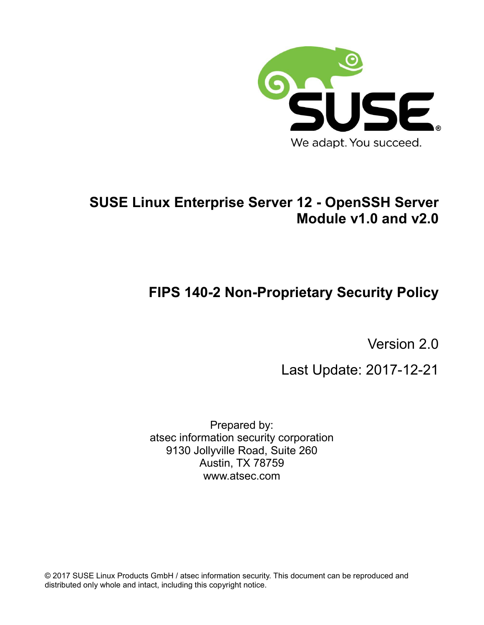

# **SUSE Linux Enterprise Server 12 - OpenSSH Server Module v1.0 and v2.0**

# **FIPS 140-2 Non-Proprietary Security Policy**

Version 2.0

Last Update: 2017-12-21

Prepared by: atsec information security corporation 9130 Jollyville Road, Suite 260 Austin, TX 78759 www.atsec.com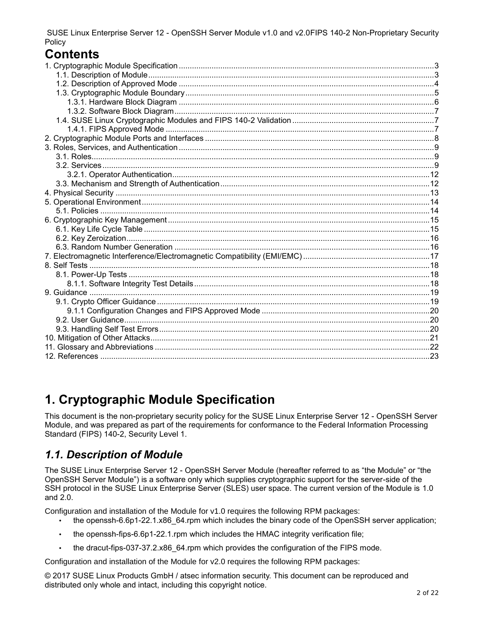# **Contents**

# **1. Cryptographic Module Specification**

This document is the non-proprietary security policy for the SUSE Linux Enterprise Server 12 - OpenSSH Server Module, and was prepared as part of the requirements for conformance to the Federal Information Processing Standard (FIPS) 140-2, Security Level 1.

### *1.1. Description of Module*

The SUSE Linux Enterprise Server 12 - OpenSSH Server Module (hereafter referred to as "the Module" or "the OpenSSH Server Module") is a software only which supplies cryptographic support for the server-side of the SSH protocol in the SUSE Linux Enterprise Server (SLES) user space. The current version of the Module is 1.0 and 2.0.

Configuration and installation of the Module for v1.0 requires the following RPM packages:

- the openssh-6.6p1-22.1.x86 64.rpm which includes the binary code of the OpenSSH server application;
- the openssh-fips-6.6p1-22.1.rpm which includes the HMAC integrity verification file;
- the dracut-fips-037-37.2.x86 64.rpm which provides the configuration of the FIPS mode.

Configuration and installation of the Module for v2.0 requires the following RPM packages: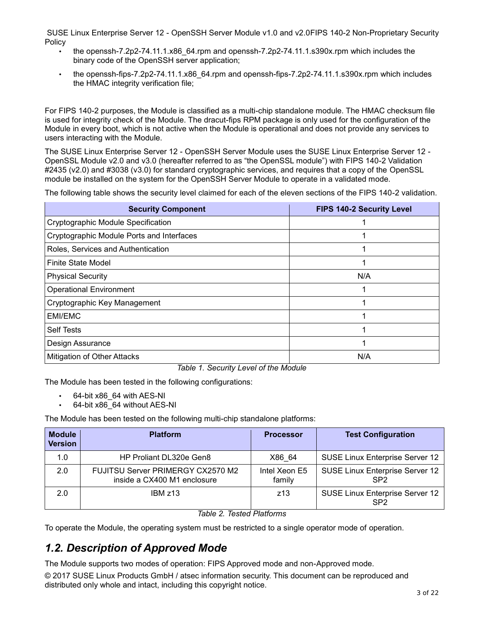- the openssh-7.2p2-74.11.1.x86\_64.rpm and openssh-7.2p2-74.11.1.s390x.rpm which includes the binary code of the OpenSSH server application;
- the openssh-fips-7.2p2-74.11.1.x86\_64.rpm and openssh-fips-7.2p2-74.11.1.s390x.rpm which includes the HMAC integrity verification file;

For FIPS 140-2 purposes, the Module is classified as a multi-chip standalone module. The HMAC checksum file is used for integrity check of the Module. The dracut-fips RPM package is only used for the configuration of the Module in every boot, which is not active when the Module is operational and does not provide any services to users interacting with the Module.

The SUSE Linux Enterprise Server 12 - OpenSSH Server Module uses the SUSE Linux Enterprise Server 12 - OpenSSL Module v2.0 and v3.0 (hereafter referred to as "the OpenSSL module") with FIPS 140-2 Validation #2435 (v2.0) and #3038 (v3.0) for standard cryptographic services, and requires that a copy of the OpenSSL module be installed on the system for the OpenSSH Server Module to operate in a validated mode.

The following table shows the security level claimed for each of the eleven sections of the FIPS 140-2 validation.

| <b>Security Component</b>                 | <b>FIPS 140-2 Security Level</b> |
|-------------------------------------------|----------------------------------|
| Cryptographic Module Specification        |                                  |
| Cryptographic Module Ports and Interfaces |                                  |
| Roles, Services and Authentication        |                                  |
| Finite State Model                        |                                  |
| <b>Physical Security</b>                  | N/A                              |
| <b>Operational Environment</b>            |                                  |
| Cryptographic Key Management              |                                  |
| EMI/EMC                                   |                                  |
| <b>Self Tests</b>                         |                                  |
| Design Assurance                          |                                  |
| <b>Mitigation of Other Attacks</b>        | N/A                              |

*Table 1. Security Level of the Module*

The Module has been tested in the following configurations:

- 64-bit x86\_64 with AES-NI
- 64-bit x86\_64 without AES-NI

The Module has been tested on the following multi-chip standalone platforms:

| <b>Module</b><br><b>Version</b> | <b>Platform</b>                                                  | <b>Processor</b>        | <b>Test Configuration</b>                                 |
|---------------------------------|------------------------------------------------------------------|-------------------------|-----------------------------------------------------------|
| 1.0                             | HP Proliant DL320e Gen8                                          | X86 64                  | SUSE Linux Enterprise Server 12                           |
| 2.0                             | FUJITSU Server PRIMERGY CX2570 M2<br>inside a CX400 M1 enclosure | Intel Xeon E5<br>family | <b>SUSE Linux Enterprise Server 12</b><br>SP <sub>2</sub> |
| 2.0                             | IBMz13                                                           | z13                     | SUSE Linux Enterprise Server 12<br>SP <sub>2</sub>        |

#### *Table 2. Tested Platforms*

To operate the Module, the operating system must be restricted to a single operator mode of operation.

### *1.2. Description of Approved Mode*

The Module supports two modes of operation: FIPS Approved mode and non-Approved mode.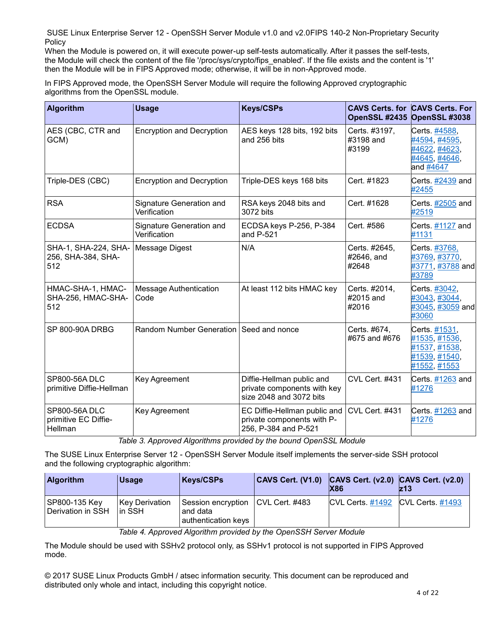When the Module is powered on, it will execute power-up self-tests automatically. After it passes the self-tests, the Module will check the content of the file '/proc/sys/crypto/fips\_enabled'. If the file exists and the content is '1' then the Module will be in FIPS Approved mode; otherwise, it will be in non-Approved mode.

In FIPS Approved mode, the OpenSSH Server Module will require the following Approved cryptographic algorithms from the OpenSSL module.

| <b>Algorithm</b>                                  | <b>Usage</b>                             | <b>Keys/CSPs</b>                                                                    | OpenSSL #2435                        | <b>CAVS Certs. for CAVS Certs. For</b><br>OpenSSL #3038                          |
|---------------------------------------------------|------------------------------------------|-------------------------------------------------------------------------------------|--------------------------------------|----------------------------------------------------------------------------------|
| AES (CBC, CTR and<br>GCM)                         | <b>Encryption and Decryption</b>         | AES keys 128 bits, 192 bits<br>and 256 bits                                         | Certs. #3197,<br>#3198 and<br>#3199  | Certs. #4588,<br>#4594, #4595,<br>#4622, #4623,<br>#4645, #4646,<br>and #4647    |
| Triple-DES (CBC)                                  | <b>Encryption and Decryption</b>         | Triple-DES keys 168 bits                                                            | Cert. #1823                          | Certs. #2439 and<br>#2455                                                        |
| <b>RSA</b>                                        | Signature Generation and<br>Verification | RSA keys 2048 bits and<br>3072 bits                                                 | Cert. #1628                          | Certs. #2505 and<br>#2519                                                        |
| <b>ECDSA</b>                                      | Signature Generation and<br>Verification | ECDSA keys P-256, P-384<br>and P-521                                                | Cert. #586                           | Certs. #1127 and<br>#1131                                                        |
| SHA-1, SHA-224, SHA-<br>256, SHA-384, SHA-<br>512 | Message Digest                           | N/A                                                                                 | Certs. #2645,<br>#2646, and<br>#2648 | Certs. #3768,<br>#3769, #3770,<br>#3771, #3788 and<br>#3789                      |
| HMAC-SHA-1, HMAC-<br>SHA-256, HMAC-SHA-<br>512    | <b>Message Authentication</b><br>Code    | At least 112 bits HMAC key                                                          | Certs. #2014,<br>#2015 and<br>#2016  | Certs. #3042,<br>#3043, #3044,<br>#3045, #3059 and<br>#3060                      |
| SP 800-90A DRBG                                   | Random Number Generation Seed and nonce  |                                                                                     | Certs. #674,<br>#675 and #676        | Certs. #1531,<br>#1535, #1536,<br>#1537, #1538,<br>#1539, #1540,<br>#1552, #1553 |
| SP800-56A DLC<br>primitive Diffie-Hellman         | Key Agreement                            | Diffie-Hellman public and<br>private components with key<br>size 2048 and 3072 bits | CVL Cert. #431                       | Certs. #1263 and<br>#1276                                                        |
| SP800-56A DLC<br>primitive EC Diffie-<br>Hellman  | Key Agreement                            | EC Diffie-Hellman public and<br>private components with P-<br>256, P-384 and P-521  | CVL Cert. #431                       | Certs. #1263 and<br>#1276                                                        |

*Table 3. Approved Algorithms provided by the bound OpenSSL Module*

The SUSE Linux Enterprise Server 12 - OpenSSH Server Module itself implements the server-side SSH protocol and the following cryptographic algorithm:

| <b>Algorithm</b>                   | <b>Usage</b>                     | <b>Keys/CSPs</b>                                      | CAVS Cert. (V1.0) CAVS Cert. (v2.0) CAVS Cert. (v2.0) | <b>X86</b>                        | lz13 |
|------------------------------------|----------------------------------|-------------------------------------------------------|-------------------------------------------------------|-----------------------------------|------|
| SP800-135 Key<br>Derivation in SSH | <b>Key Derivation</b><br>lin SSH | Session encryption<br>and data<br>authentication keys | CVL Cert. #483                                        | CVL Certs. #1492 CVL Certs. #1493 |      |

*Table 4. Approved Algorithm provided by the OpenSSH Server Module*

The Module should be used with SSHv2 protocol only, as SSHv1 protocol is not supported in FIPS Approved mode.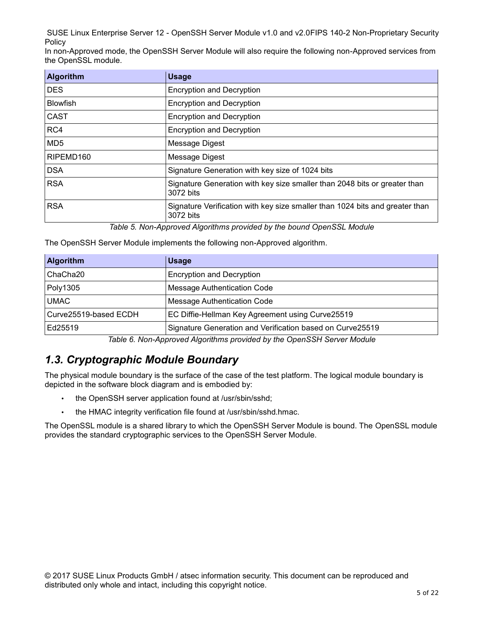In non-Approved mode, the OpenSSH Server Module will also require the following non-Approved services from the OpenSSL module.

| <b>Algorithm</b> | <b>Usage</b>                                                                              |
|------------------|-------------------------------------------------------------------------------------------|
| <b>DES</b>       | <b>Encryption and Decryption</b>                                                          |
| <b>Blowfish</b>  | <b>Encryption and Decryption</b>                                                          |
| <b>CAST</b>      | <b>Encryption and Decryption</b>                                                          |
| RC4              | <b>Encryption and Decryption</b>                                                          |
| MD <sub>5</sub>  | Message Digest                                                                            |
| RIPEMD160        | Message Digest                                                                            |
| <b>DSA</b>       | Signature Generation with key size of 1024 bits                                           |
| <b>RSA</b>       | Signature Generation with key size smaller than 2048 bits or greater than<br>3072 bits    |
| <b>RSA</b>       | Signature Verification with key size smaller than 1024 bits and greater than<br>3072 bits |

*Table 5. Non-Approved Algorithms provided by the bound OpenSSL Module*

The OpenSSH Server Module implements the following non-Approved algorithm.

| <b>Algorithm</b>      | <b>Usage</b>                                              |
|-----------------------|-----------------------------------------------------------|
| ChaCha <sub>20</sub>  | <b>Encryption and Decryption</b>                          |
| Poly1305              | Message Authentication Code                               |
| <b>UMAC</b>           | Message Authentication Code                               |
| Curve25519-based ECDH | EC Diffie-Hellman Key Agreement using Curve25519          |
| Ed25519               | Signature Generation and Verification based on Curve25519 |

*Table 6. Non-Approved Algorithms provided by the OpenSSH Server Module*

### *1.3. Cryptographic Module Boundary*

The physical module boundary is the surface of the case of the test platform. The logical module boundary is depicted in the software block diagram and is embodied by:

- the OpenSSH server application found at /usr/sbin/sshd;
- the HMAC integrity verification file found at /usr/sbin/sshd.hmac.

The OpenSSL module is a shared library to which the OpenSSH Server Module is bound. The OpenSSL module provides the standard cryptographic services to the OpenSSH Server Module.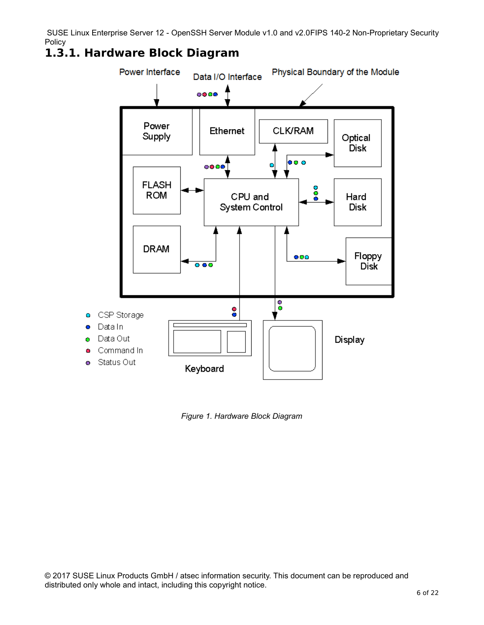### **1.3.1. Hardware Block Diagram**



*Figure 1. Hardware Block Diagram*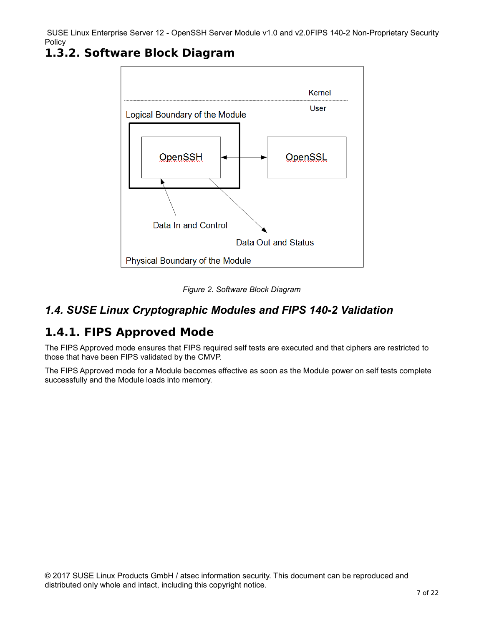

### **1.3.2. Software Block Diagram**



#### *1.4. SUSE Linux Cryptographic Modules and FIPS 140-2 Validation*

### **1.4.1. FIPS Approved Mode**

The FIPS Approved mode ensures that FIPS required self tests are executed and that ciphers are restricted to those that have been FIPS validated by the CMVP.

The FIPS Approved mode for a Module becomes effective as soon as the Module power on self tests complete successfully and the Module loads into memory.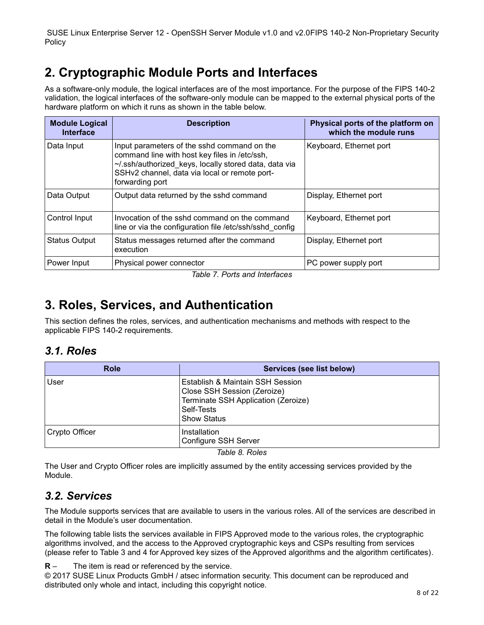# **2. Cryptographic Module Ports and Interfaces**

As a software-only module, the logical interfaces are of the most importance. For the purpose of the FIPS 140-2 validation, the logical interfaces of the software-only module can be mapped to the external physical ports of the hardware platform on which it runs as shown in the table below.

| <b>Module Logical</b><br><b>Interface</b> | <b>Description</b>                                                                                                                                                                                                        | Physical ports of the platform on<br>which the module runs |
|-------------------------------------------|---------------------------------------------------------------------------------------------------------------------------------------------------------------------------------------------------------------------------|------------------------------------------------------------|
| Data Input                                | Input parameters of the sshd command on the<br>command line with host key files in /etc/ssh,<br>~/.ssh/authorized keys, locally stored data, data via<br>SSHv2 channel, data via local or remote port-<br>forwarding port | Keyboard, Ethernet port                                    |
| Data Output                               | Output data returned by the sshd command                                                                                                                                                                                  | Display, Ethernet port                                     |
| Control Input                             | Invocation of the sshd command on the command<br>line or via the configuration file /etc/ssh/sshd config                                                                                                                  | Keyboard, Ethernet port                                    |
| <b>Status Output</b>                      | Status messages returned after the command<br>execution                                                                                                                                                                   | Display, Ethernet port                                     |
| Power Input                               | Physical power connector                                                                                                                                                                                                  | PC power supply port                                       |

*Table 7. Ports and Interfaces*

# **3. Roles, Services, and Authentication**

This section defines the roles, services, and authentication mechanisms and methods with respect to the applicable FIPS 140-2 requirements.

#### *3.1. Roles*

| <b>Role</b>    | Services (see list below)                                                                                                                  |
|----------------|--------------------------------------------------------------------------------------------------------------------------------------------|
| User           | Establish & Maintain SSH Session<br>Close SSH Session (Zeroize)<br>Terminate SSH Application (Zeroize)<br>Self-Tests<br><b>Show Status</b> |
| Crypto Officer | Installation<br>Configure SSH Server                                                                                                       |

*Table 8. Roles*

The User and Crypto Officer roles are implicitly assumed by the entity accessing services provided by the Module.

#### *3.2. Services*

The Module supports services that are available to users in the various roles. All of the services are described in detail in the Module's user documentation.

The following table lists the services available in FIPS Approved mode to the various roles, the cryptographic algorithms involved, and the access to the Approved cryptographic keys and CSPs resulting from services (please refer to Table 3 and 4 for Approved key sizes of the Approved algorithms and the algorithm certificates).

**R** – The item is read or referenced by the service.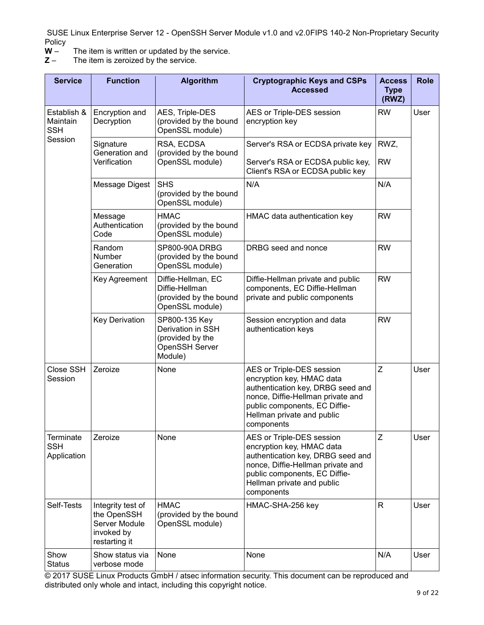- $W -$  The item is written or updated by the service.<br> $Z -$  The item is zeroized by the service.
- The item is zeroized by the service.

| <b>Service</b>                                | <b>Function</b>                                                                  | <b>Algorithm</b>                                                                           | <b>Cryptographic Keys and CSPs</b><br><b>Accessed</b>                                                                                                                                                         | <b>Access</b><br><b>Type</b><br>(RWZ) | <b>Role</b> |
|-----------------------------------------------|----------------------------------------------------------------------------------|--------------------------------------------------------------------------------------------|---------------------------------------------------------------------------------------------------------------------------------------------------------------------------------------------------------------|---------------------------------------|-------------|
| Establish &<br>Maintain<br><b>SSH</b>         | Encryption and<br>Decryption                                                     | AES, Triple-DES<br>(provided by the bound<br>OpenSSL module)                               | AES or Triple-DES session<br>encryption key                                                                                                                                                                   | <b>RW</b>                             | User        |
| Session                                       | Signature<br>Generation and<br>Verification                                      | RSA, ECDSA<br>(provided by the bound<br>OpenSSL module)                                    | Server's RSA or ECDSA private key<br>Server's RSA or ECDSA public key,<br>Client's RSA or ECDSA public key                                                                                                    | RWZ,<br><b>RW</b>                     |             |
|                                               | Message Digest                                                                   | <b>SHS</b><br>(provided by the bound<br>OpenSSL module)                                    | N/A                                                                                                                                                                                                           | N/A                                   |             |
|                                               | Message<br>Authentication<br>Code                                                | <b>HMAC</b><br>(provided by the bound<br>OpenSSL module)                                   | HMAC data authentication key                                                                                                                                                                                  | <b>RW</b>                             |             |
|                                               | Random<br>Number<br>Generation                                                   | SP800-90A DRBG<br>(provided by the bound<br>OpenSSL module)                                | DRBG seed and nonce                                                                                                                                                                                           | <b>RW</b>                             |             |
|                                               | Key Agreement                                                                    | Diffie-Hellman, EC<br>Diffie-Hellman<br>(provided by the bound<br>OpenSSL module)          | Diffie-Hellman private and public<br>components, EC Diffie-Hellman<br>private and public components                                                                                                           | <b>RW</b>                             |             |
|                                               | <b>Key Derivation</b>                                                            | SP800-135 Key<br>Derivation in SSH<br>(provided by the<br><b>OpenSSH Server</b><br>Module) | Session encryption and data<br>authentication keys                                                                                                                                                            | <b>RW</b>                             |             |
| Close SSH<br>Session                          | Zeroize                                                                          | None                                                                                       | AES or Triple-DES session<br>encryption key, HMAC data<br>authentication key, DRBG seed and<br>nonce, Diffie-Hellman private and<br>public components, EC Diffie-<br>Hellman private and public<br>components | Z                                     | User        |
| <b>Terminate</b><br><b>SSH</b><br>Application | Zeroize                                                                          | None                                                                                       | AES or Triple-DES session<br>encryption key, HMAC data<br>authentication key, DRBG seed and<br>nonce, Diffie-Hellman private and<br>public components, EC Diffie-<br>Hellman private and public<br>components | Z                                     | User        |
| Self-Tests                                    | Integrity test of<br>the OpenSSH<br>Server Module<br>invoked by<br>restarting it | <b>HMAC</b><br>(provided by the bound<br>OpenSSL module)                                   | HMAC-SHA-256 key                                                                                                                                                                                              | R                                     | User        |
| Show<br><b>Status</b>                         | Show status via<br>verbose mode                                                  | None                                                                                       | None                                                                                                                                                                                                          | N/A                                   | User        |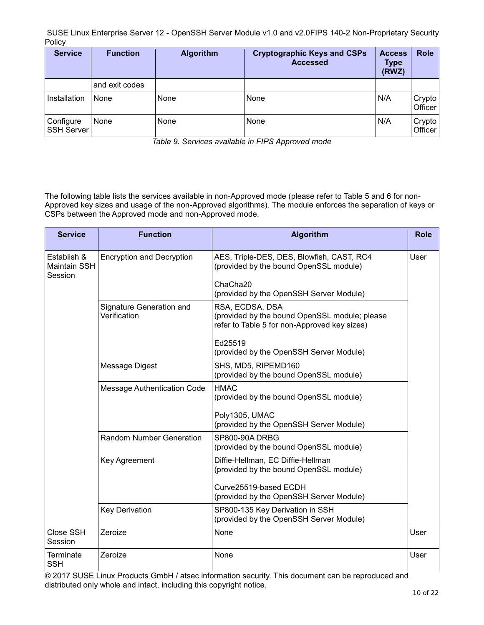| <b>Service</b>                 | <b>Function</b> | <b>Algorithm</b> | <b>Cryptographic Keys and CSPs</b><br><b>Accessed</b> | <b>Access</b><br><b>Type</b><br>(RWZ) | <b>Role</b>       |
|--------------------------------|-----------------|------------------|-------------------------------------------------------|---------------------------------------|-------------------|
|                                | and exit codes  |                  |                                                       |                                       |                   |
| Installation                   | None            | None             | None                                                  | N/A                                   | Crypto<br>Officer |
| Configure<br><b>SSH Server</b> | None            | None             | None                                                  | N/A                                   | Crypto<br>Officer |

*Table 9. Services available in FIPS Approved mode*

The following table lists the services available in non-Approved mode (please refer to Table 5 and 6 for non-Approved key sizes and usage of the non-Approved algorithms). The module enforces the separation of keys or CSPs between the Approved mode and non-Approved mode.

| <b>Service</b>                         | <b>Function</b>                          | <b>Algorithm</b>                                                                                                 | <b>Role</b> |
|----------------------------------------|------------------------------------------|------------------------------------------------------------------------------------------------------------------|-------------|
| Establish &<br>Maintain SSH<br>Session | <b>Encryption and Decryption</b>         | AES, Triple-DES, DES, Blowfish, CAST, RC4<br>(provided by the bound OpenSSL module)                              | User        |
|                                        |                                          | ChaCha <sub>20</sub><br>(provided by the OpenSSH Server Module)                                                  |             |
|                                        | Signature Generation and<br>Verification | RSA, ECDSA, DSA<br>(provided by the bound OpenSSL module; please<br>refer to Table 5 for non-Approved key sizes) |             |
|                                        |                                          | Ed25519<br>(provided by the OpenSSH Server Module)                                                               |             |
|                                        | Message Digest                           | SHS, MD5, RIPEMD160<br>(provided by the bound OpenSSL module)                                                    |             |
|                                        | Message Authentication Code              | <b>HMAC</b><br>(provided by the bound OpenSSL module)                                                            |             |
|                                        |                                          | Poly1305, UMAC<br>(provided by the OpenSSH Server Module)                                                        |             |
|                                        | <b>Random Number Generation</b>          | <b>SP800-90A DRBG</b><br>(provided by the bound OpenSSL module)                                                  |             |
|                                        | Key Agreement                            | Diffie-Hellman, EC Diffie-Hellman<br>(provided by the bound OpenSSL module)                                      |             |
|                                        |                                          | Curve25519-based ECDH<br>(provided by the OpenSSH Server Module)                                                 |             |
|                                        | <b>Key Derivation</b>                    | SP800-135 Key Derivation in SSH<br>(provided by the OpenSSH Server Module)                                       |             |
| Close SSH<br>Session                   | Zeroize                                  | None                                                                                                             | User        |
| <b>Terminate</b><br><b>SSH</b>         | Zeroize                                  | None                                                                                                             | User        |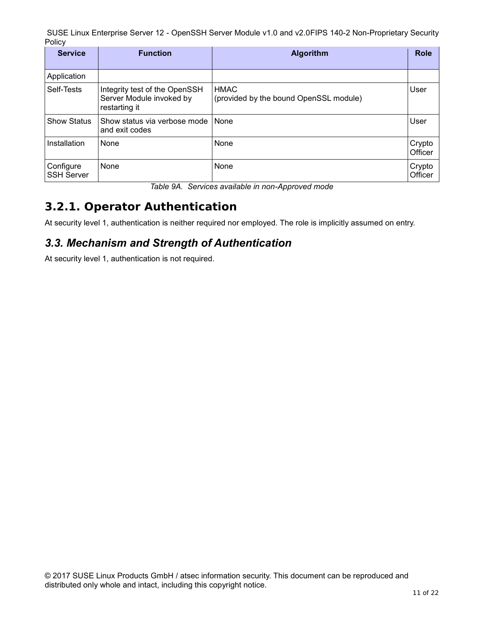| <b>Service</b>                 | <b>Function</b>                                                            | <b>Algorithm</b>                                      | <b>Role</b>       |
|--------------------------------|----------------------------------------------------------------------------|-------------------------------------------------------|-------------------|
| Application                    |                                                                            |                                                       |                   |
| Self-Tests                     | Integrity test of the OpenSSH<br>Server Module invoked by<br>restarting it | <b>HMAC</b><br>(provided by the bound OpenSSL module) | User              |
| <b>Show Status</b>             | Show status via verbose mode<br>and exit codes                             | None                                                  | User              |
| Installation                   | None                                                                       | None                                                  | Crypto<br>Officer |
| Configure<br><b>SSH Server</b> | None                                                                       | None                                                  | Crypto<br>Officer |

*Table 9A. Services available in non-Approved mode*

# **3.2.1. Operator Authentication**

At security level 1, authentication is neither required nor employed. The role is implicitly assumed on entry.

#### *3.3. Mechanism and Strength of Authentication*

At security level 1, authentication is not required.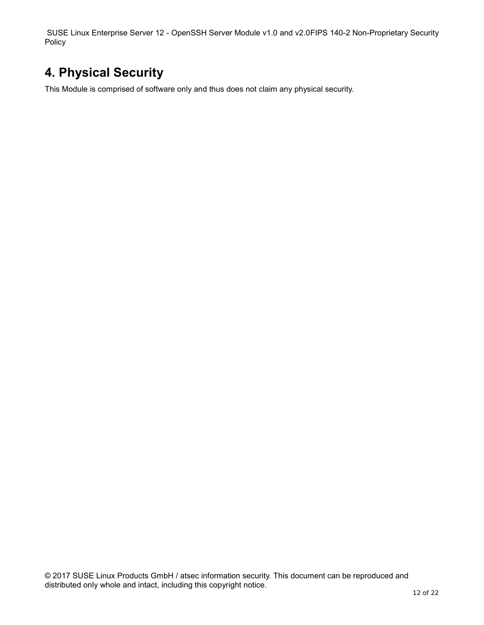# **4. Physical Security**

This Module is comprised of software only and thus does not claim any physical security.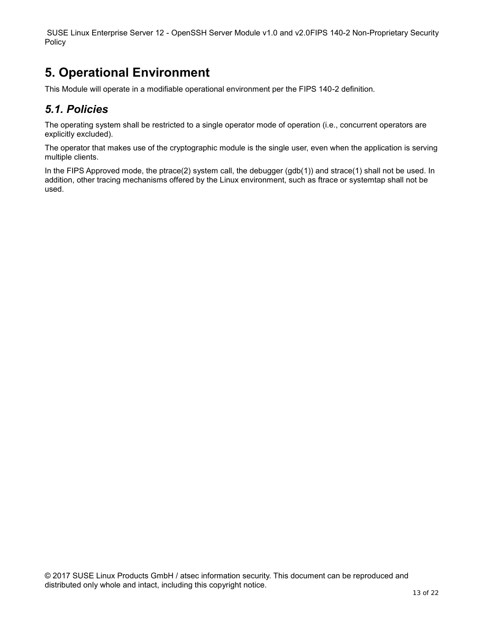# **5. Operational Environment**

This Module will operate in a modifiable operational environment per the FIPS 140-2 definition.

#### *5.1. Policies*

The operating system shall be restricted to a single operator mode of operation (i.e., concurrent operators are explicitly excluded).

The operator that makes use of the cryptographic module is the single user, even when the application is serving multiple clients.

In the FIPS Approved mode, the ptrace(2) system call, the debugger (gdb(1)) and strace(1) shall not be used. In addition, other tracing mechanisms offered by the Linux environment, such as ftrace or systemtap shall not be used.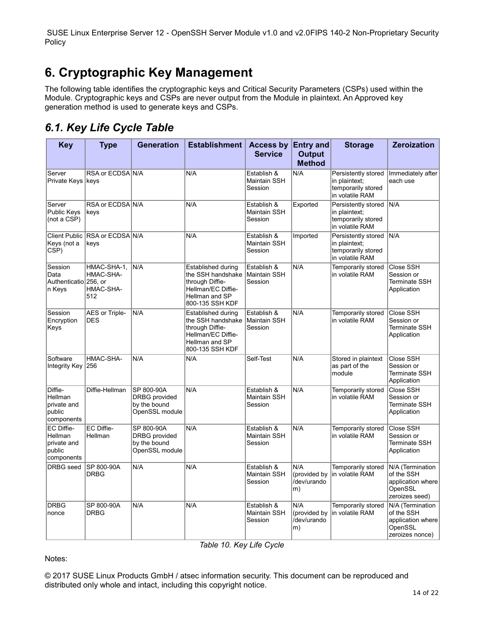# **6. Cryptographic Key Management**

The following table identifies the cryptographic keys and Critical Security Parameters (CSPs) used within the Module. Cryptographic keys and CSPs are never output from the Module in plaintext. An Approved key generation method is used to generate keys and CSPs.

### *6.1. Key Life Cycle Table*

| <b>Key</b>                                                   | <b>Type</b>                                  | <b>Generation</b>                                             | Establishment   Access by Entry and                                                                                   | <b>Service</b>                         | <b>Output</b><br><b>Method</b>           | <b>Storage</b>                                                                | <b>Zeroization</b>                                                                |
|--------------------------------------------------------------|----------------------------------------------|---------------------------------------------------------------|-----------------------------------------------------------------------------------------------------------------------|----------------------------------------|------------------------------------------|-------------------------------------------------------------------------------|-----------------------------------------------------------------------------------|
| Server<br>Private Keys   keys                                | RSA or ECDSA N/A                             |                                                               | N/A                                                                                                                   | Establish &<br>Maintain SSH<br>Session | N/A                                      | Persistently stored<br>in plaintext:<br>temporarily stored<br>in volatile RAM | Immediately after<br>each use                                                     |
| Server<br>Public Keys<br>(not a CSP)                         | RSA or ECDSA N/A<br>keys                     |                                                               | N/A                                                                                                                   | Establish &<br>Maintain SSH<br>Session | Exported                                 | Persistently stored<br>in plaintext;<br>temporarily stored<br>in volatile RAM | N/A                                                                               |
| <b>Client Public</b><br>Keys (not a<br>CSP)                  | RSA or ECDSA N/A<br>keys                     |                                                               | N/A                                                                                                                   | Establish &<br>Maintain SSH<br>Session | Imported                                 | Persistently stored<br>in plaintext;<br>temporarily stored<br>in volatile RAM | N/A                                                                               |
| Session<br>Data<br>Authenticatio 256. or<br>n Keys           | HMAC-SHA-1,<br>HMAC-SHA-<br>HMAC-SHA-<br>512 | N/A                                                           | Established during<br>the SSH handshake<br>through Diffie-<br>Hellman/EC Diffie-<br>Hellman and SP<br>800-135 SSH KDF | Establish &<br>Maintain SSH<br>Session | N/A                                      | Temporarily stored<br>in volatile RAM                                         | Close SSH<br>Session or<br><b>Terminate SSH</b><br>Application                    |
| Session<br>Encryption<br>Keys                                | AES or Triple-<br><b>DES</b>                 | N/A                                                           | Established during<br>the SSH handshake<br>through Diffie-<br>Hellman/EC Diffie-<br>Hellman and SP<br>800-135 SSH KDF | Establish &<br>Maintain SSH<br>Session | N/A                                      | Temporarily stored<br>in volatile RAM                                         | Close SSH<br>Session or<br>Terminate SSH<br>Application                           |
| Software<br>Integrity Key 256                                | HMAC-SHA-                                    | N/A                                                           | N/A                                                                                                                   | Self-Test                              | N/A                                      | Stored in plaintext<br>as part of the<br>module                               | Close SSH<br>Session or<br><b>Terminate SSH</b><br>Application                    |
| Diffie-<br>Hellman<br>private and<br>public<br>components    | Diffie-Hellman                               | SP 800-90A<br>DRBG provided<br>by the bound<br>OpenSSL module | N/A                                                                                                                   | Establish &<br>Maintain SSH<br>Session | N/A                                      | Temporarily stored<br>in volatile RAM                                         | Close SSH<br>Session or<br>Terminate SSH<br>Application                           |
| EC Diffie-<br>Hellman<br>private and<br>public<br>components | <b>EC Diffie-</b><br>Hellman                 | SP 800-90A<br>DRBG provided<br>by the bound<br>OpenSSL module | N/A                                                                                                                   | Establish &<br>Maintain SSH<br>Session | N/A                                      | Temporarily stored<br>in volatile RAM                                         | Close SSH<br>Session or<br>Terminate SSH<br>Application                           |
| DRBG seed                                                    | SP 800-90A<br><b>DRBG</b>                    | N/A                                                           | N/A                                                                                                                   | Establish &<br>Maintain SSH<br>Session | N/A<br>(provided by<br>/dev/urando<br>m) | Temporarily stored<br>in volatile RAM                                         | N/A (Termination<br>of the SSH<br>application where<br>OpenSSL<br>zeroizes seed)  |
| <b>DRBG</b><br>nonce                                         | SP 800-90A<br>DRBG                           | N/A                                                           | N/A                                                                                                                   | Establish &<br>Maintain SSH<br>Session | N/A<br>(provided by<br>/dev/urando<br>m) | Temporarily stored<br>in volatile RAM                                         | N/A (Termination<br>of the SSH<br>application where<br>OpenSSL<br>zeroizes nonce) |

*Table 10. Key Life Cycle*

Notes: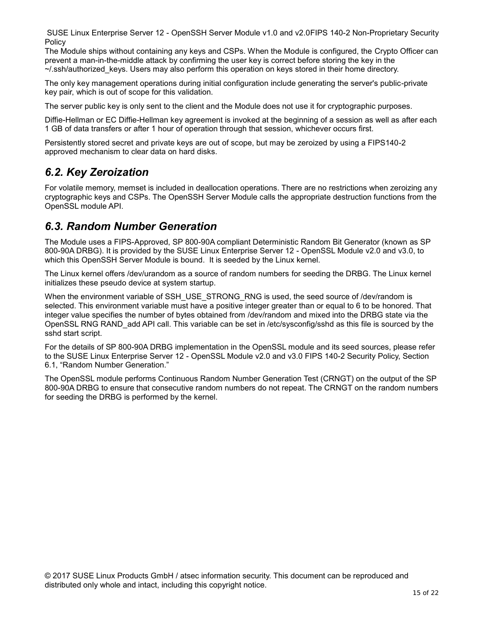The Module ships without containing any keys and CSPs. When the Module is configured, the Crypto Officer can prevent a man-in-the-middle attack by confirming the user key is correct before storing the key in the  $\sim$ /.ssh/authorized keys. Users may also perform this operation on keys stored in their home directory.

The only key management operations during initial configuration include generating the server's public-private key pair, which is out of scope for this validation.

The server public key is only sent to the client and the Module does not use it for cryptographic purposes.

Diffie-Hellman or EC Diffie-Hellman key agreement is invoked at the beginning of a session as well as after each 1 GB of data transfers or after 1 hour of operation through that session, whichever occurs first.

Persistently stored secret and private keys are out of scope, but may be zeroized by using a FIPS140-2 approved mechanism to clear data on hard disks.

#### *6.2. Key Zeroization*

For volatile memory, memset is included in deallocation operations. There are no restrictions when zeroizing any cryptographic keys and CSPs. The OpenSSH Server Module calls the appropriate destruction functions from the OpenSSL module API.

#### *6.3. Random Number Generation*

The Module uses a FIPS-Approved, SP 800-90A compliant Deterministic Random Bit Generator (known as SP 800-90A DRBG). It is provided by the SUSE Linux Enterprise Server 12 - OpenSSL Module v2.0 and v3.0, to which this OpenSSH Server Module is bound. It is seeded by the Linux kernel.

The Linux kernel offers /dev/urandom as a source of random numbers for seeding the DRBG. The Linux kernel initializes these pseudo device at system startup.

When the environment variable of SSH\_USE\_STRONG\_RNG is used, the seed source of /dev/random is selected. This environment variable must have a positive integer greater than or equal to 6 to be honored. That integer value specifies the number of bytes obtained from /dev/random and mixed into the DRBG state via the OpenSSL RNG RAND\_add API call. This variable can be set in /etc/sysconfig/sshd as this file is sourced by the sshd start script.

For the details of SP 800-90A DRBG implementation in the OpenSSL module and its seed sources, please refer to the SUSE Linux Enterprise Server 12 - OpenSSL Module v2.0 and v3.0 FIPS 140-2 Security Policy, Section 6.1, "Random Number Generation."

The OpenSSL module performs Continuous Random Number Generation Test (CRNGT) on the output of the SP 800-90A DRBG to ensure that consecutive random numbers do not repeat. The CRNGT on the random numbers for seeding the DRBG is performed by the kernel.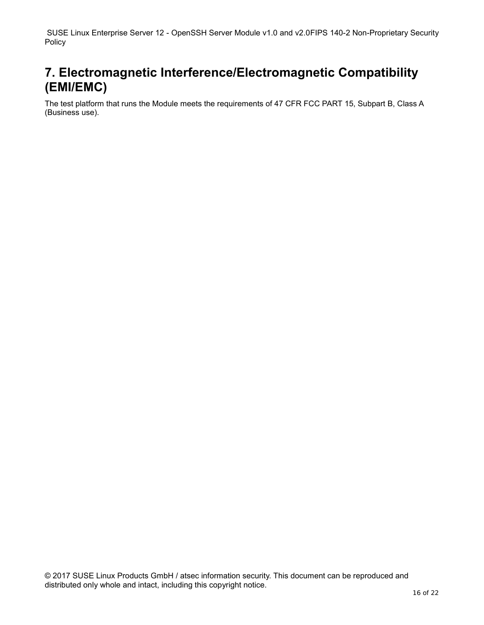# **7. Electromagnetic Interference/Electromagnetic Compatibility (EMI/EMC)**

The test platform that runs the Module meets the requirements of 47 CFR FCC PART 15, Subpart B, Class A (Business use).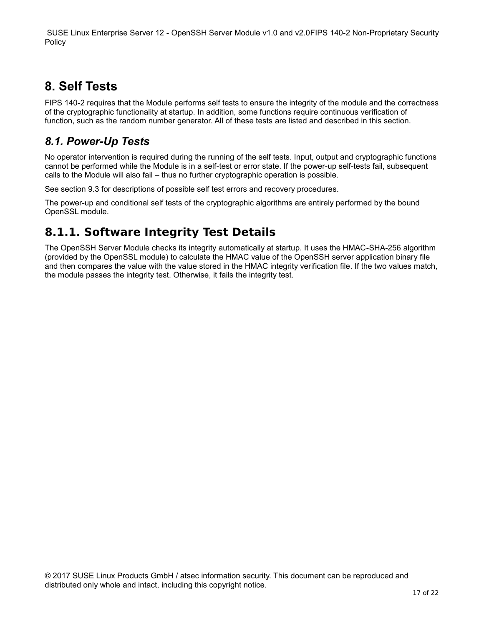# **8. Self Tests**

FIPS 140-2 requires that the Module performs self tests to ensure the integrity of the module and the correctness of the cryptographic functionality at startup. In addition, some functions require continuous verification of function, such as the random number generator. All of these tests are listed and described in this section.

### *8.1. Power-Up Tests*

No operator intervention is required during the running of the self tests. Input, output and cryptographic functions cannot be performed while the Module is in a self-test or error state. If the power-up self-tests fail, subsequent calls to the Module will also fail – thus no further cryptographic operation is possible.

See section 9.3 for descriptions of possible self test errors and recovery procedures.

The power-up and conditional self tests of the cryptographic algorithms are entirely performed by the bound OpenSSL module.

# **8.1.1. Software Integrity Test Details**

The OpenSSH Server Module checks its integrity automatically at startup. It uses the HMAC-SHA-256 algorithm (provided by the OpenSSL module) to calculate the HMAC value of the OpenSSH server application binary file and then compares the value with the value stored in the HMAC integrity verification file. If the two values match, the module passes the integrity test. Otherwise, it fails the integrity test.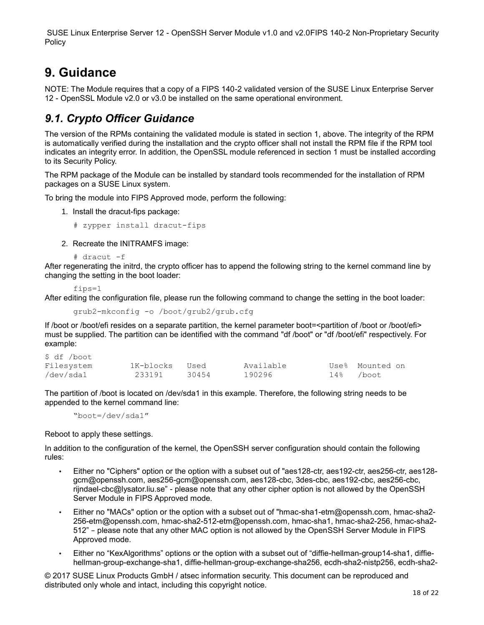# **9. Guidance**

NOTE: The Module requires that a copy of a FIPS 140-2 validated version of the SUSE Linux Enterprise Server 12 - OpenSSL Module v2.0 or v3.0 be installed on the same operational environment.

### *9.1. Crypto Officer Guidance*

The version of the RPMs containing the validated module is stated in section 1, above. The integrity of the RPM is automatically verified during the installation and the crypto officer shall not install the RPM file if the RPM tool indicates an integrity error. In addition, the OpenSSL module referenced in section 1 must be installed according to its Security Policy.

The RPM package of the Module can be installed by standard tools recommended for the installation of RPM packages on a SUSE Linux system.

To bring the module into FIPS Approved mode, perform the following:

1. Install the dracut-fips package:

# zypper install dracut-fips

2. Recreate the INITRAMFS image:

# dracut -f

After regenerating the initrd, the crypto officer has to append the following string to the kernel command line by changing the setting in the boot loader:

fips=1

After editing the configuration file, please run the following command to change the setting in the boot loader:

grub2-mkconfig -o /boot/grub2/grub.cfg

If /boot or /boot/efi resides on a separate partition, the kernel parameter boot=<partition of /boot or /boot/efi> must be supplied. The partition can be identified with the command "df /boot" or "df /boot/efi" respectively. For example:

| \$ df /boot |           |       |           |           |                 |
|-------------|-----------|-------|-----------|-----------|-----------------|
| Filesystem  | 1K-blocks | Used  | Available |           | Use% Mounted on |
| /dev/sda1   | 233191    | 30454 | 190296    | 14% /boot |                 |

The partition of /boot is located on /dev/sda1 in this example. Therefore, the following string needs to be appended to the kernel command line:

"boot=/dev/sda1"

Reboot to apply these settings.

In addition to the configuration of the kernel, the OpenSSH server configuration should contain the following rules:

- Either no "Ciphers" option or the option with a subset out of "aes128-ctr, aes192-ctr, aes256-ctr, aes128 gcm@openssh.com, aes256-gcm@openssh.com, aes128-cbc, 3des-cbc, aes192-cbc, aes256-cbc, rijndael-cbc@lysator.liu.se" - please note that any other cipher option is not allowed by the OpenSSH Server Module in FIPS Approved mode.
- Either no "MACs" option or the option with a subset out of "hmac-sha1-etm@openssh.com, hmac-sha2- 256-etm@openssh.com, hmac-sha2-512-etm@openssh.com, hmac-sha1, hmac-sha2-256, hmac-sha2- 512" – please note that any other MAC option is not allowed by the OpenSSH Server Module in FIPS Approved mode.
- Either no "KexAlgorithms" options or the option with a subset out of "diffie-hellman-group14-sha1, diffiehellman-group-exchange-sha1, diffie-hellman-group-exchange-sha256, ecdh-sha2-nistp256, ecdh-sha2-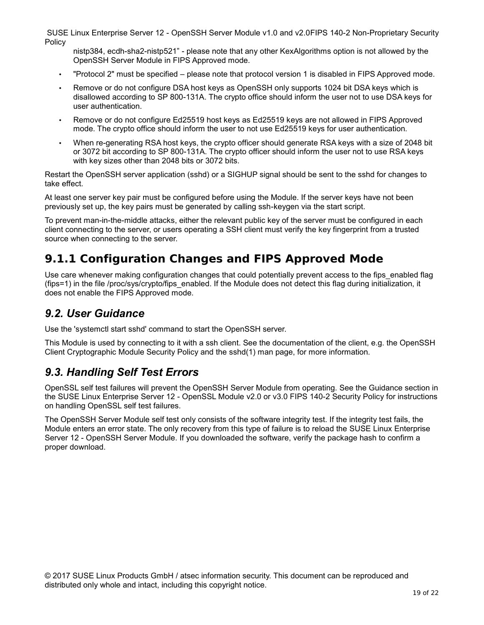nistp384, ecdh-sha2-nistp521" - please note that any other KexAlgorithms option is not allowed by the OpenSSH Server Module in FIPS Approved mode.

- "Protocol 2" must be specified please note that protocol version 1 is disabled in FIPS Approved mode.
- Remove or do not configure DSA host keys as OpenSSH only supports 1024 bit DSA keys which is disallowed according to SP 800-131A. The crypto office should inform the user not to use DSA keys for user authentication.
- Remove or do not configure Ed25519 host keys as Ed25519 keys are not allowed in FIPS Approved mode. The crypto office should inform the user to not use Ed25519 keys for user authentication.
- When re-generating RSA host keys, the crypto officer should generate RSA keys with a size of 2048 bit or 3072 bit according to SP 800-131A. The crypto officer should inform the user not to use RSA keys with key sizes other than 2048 bits or 3072 bits.

Restart the OpenSSH server application (sshd) or a SIGHUP signal should be sent to the sshd for changes to take effect.

At least one server key pair must be configured before using the Module. If the server keys have not been previously set up, the key pairs must be generated by calling ssh-keygen via the start script.

To prevent man-in-the-middle attacks, either the relevant public key of the server must be configured in each client connecting to the server, or users operating a SSH client must verify the key fingerprint from a trusted source when connecting to the server.

### **9.1.1 Configuration Changes and FIPS Approved Mode**

Use care whenever making configuration changes that could potentially prevent access to the fips\_enabled flag (fips=1) in the file /proc/sys/crypto/fips\_enabled. If the Module does not detect this flag during initialization, it does not enable the FIPS Approved mode.

#### *9.2. User Guidance*

Use the 'systemctl start sshd' command to start the OpenSSH server.

This Module is used by connecting to it with a ssh client. See the documentation of the client, e.g. the OpenSSH Client Cryptographic Module Security Policy and the sshd(1) man page, for more information.

#### *9.3. Handling Self Test Errors*

OpenSSL self test failures will prevent the OpenSSH Server Module from operating. See the Guidance section in the SUSE Linux Enterprise Server 12 - OpenSSL Module v2.0 or v3.0 FIPS 140-2 Security Policy for instructions on handling OpenSSL self test failures.

The OpenSSH Server Module self test only consists of the software integrity test. If the integrity test fails, the Module enters an error state. The only recovery from this type of failure is to reload the SUSE Linux Enterprise Server 12 - OpenSSH Server Module. If you downloaded the software, verify the package hash to confirm a proper download.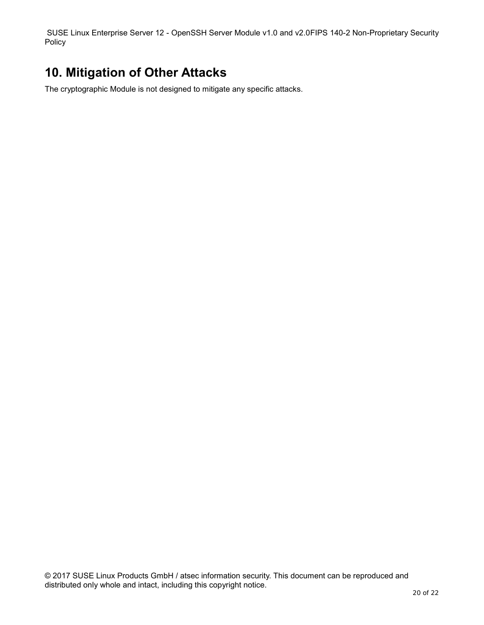# **10. Mitigation of Other Attacks**

The cryptographic Module is not designed to mitigate any specific attacks.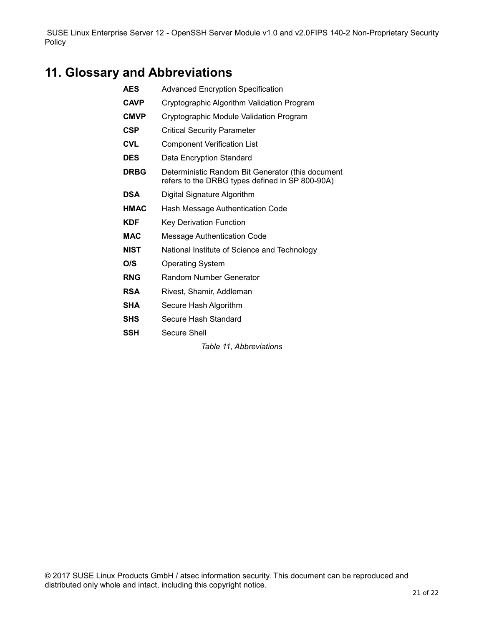# **11. Glossary and Abbreviations**

- **AES** Advanced Encryption Specification **CAVP** Cryptographic Algorithm Validation Program **CMVP** Cryptographic Module Validation Program **CSP** Critical Security Parameter **CVL** Component Verification List **DES** Data Encryption Standard **DRBG** Deterministic Random Bit Generator (this document refers to the DRBG types defined in SP 800-90A) **DSA** Digital Signature Algorithm **HMAC** Hash Message Authentication Code **KDF** Key Derivation Function **MAC** Message Authentication Code **NIST** National Institute of Science and Technology **O/S** Operating System **RNG** Random Number Generator **RSA** Rivest, Shamir, Addleman
	- **SHA** Secure Hash Algorithm
	- **SHS** Secure Hash Standard
	- **SSH** Secure Shell

*Table 11, Abbreviations*